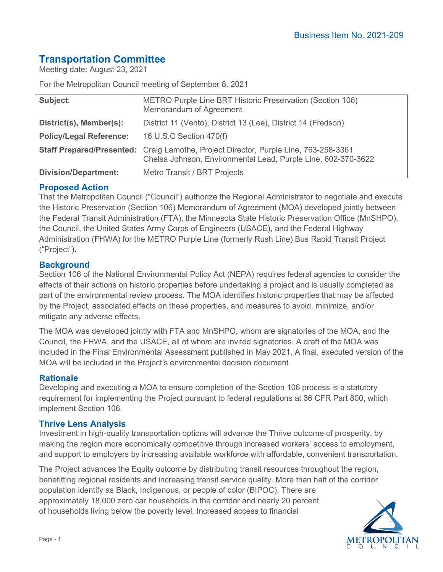# **Transportation Committee**

Meeting date: August 23, 2021

For the Metropolitan Council meeting of September 8, 2021

| Subject:                       | METRO Purple Line BRT Historic Preservation (Section 106)<br>Memorandum of Agreement                                                                  |
|--------------------------------|-------------------------------------------------------------------------------------------------------------------------------------------------------|
| District(s), Member(s):        | District 11 (Vento), District 13 (Lee), District 14 (Fredson)                                                                                         |
| <b>Policy/Legal Reference:</b> | 16 U.S.C Section 470(f)                                                                                                                               |
|                                | Staff Prepared/Presented: Craig Lamothe, Project Director, Purple Line, 763-258-3361<br>Chelsa Johnson, Environmental Lead, Purple Line, 602-370-3622 |
| <b>Division/Department:</b>    | Metro Transit / BRT Projects                                                                                                                          |

## **Proposed Action**

That the Metropolitan Council ("Council") authorize the Regional Administrator to negotiate and execute the Historic Preservation (Section 106) Memorandum of Agreement (MOA) developed jointly between the Federal Transit Administration (FTA), the Minnesota State Historic Preservation Office (MnSHPO), the Council, the United States Army Corps of Engineers (USACE), and the Federal Highway Administration (FHWA) for the METRO Purple Line (formerly Rush Line) Bus Rapid Transit Project ("Project").

## **Background**

Section 106 of the National Environmental Policy Act (NEPA) requires federal agencies to consider the effects of their actions on historic properties before undertaking a project and is usually completed as part of the environmental review process. The MOA identifies historic properties that may be affected by the Project, associated effects on these properties, and measures to avoid, minimize, and/or mitigate any adverse effects.

The MOA was developed jointly with FTA and MnSHPO, whom are signatories of the MOA, and the Council, the FHWA, and the USACE, all of whom are invited signatories. A draft of the MOA was included in the Final Environmental Assessment published in May 2021. A final, executed version of the MOA will be included in the Project's environmental decision document.

## **Rationale**

Developing and executing a MOA to ensure completion of the Section 106 process is a statutory requirement for implementing the Project pursuant to federal regulations at 36 CFR Part 800, which implement Section 106.

#### **Thrive Lens Analysis**

Investment in high-quality transportation options will advance the Thrive outcome of prosperity, by making the region more economically competitive through increased workers' access to employment, and support to employers by increasing available workforce with affordable, convenient transportation.

The Project advances the Equity outcome by distributing transit resources throughout the region, benefitting regional residents and increasing transit service quality. More than half of the corridor population identify as Black, Indigenous, or people of color (BIPOC). There are approximately 18,000 zero car households in the corridor and nearly 20 percent of households living below the poverty level. Increased access to financial